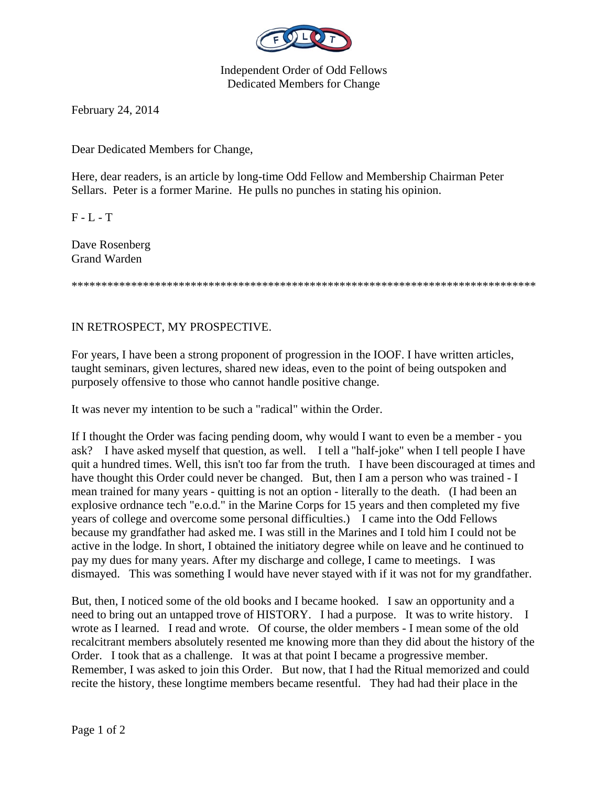

Independent Order of Odd Fellows Dedicated Members for Change

February 24, 2014

Dear Dedicated Members for Change,

Here, dear readers, is an article by long-time Odd Fellow and Membership Chairman Peter Sellars. Peter is a former Marine. He pulls no punches in stating his opinion.

 $F - L - T$ 

Dave Rosenberg Grand Warden

\*\*\*\*\*\*\*\*\*\*\*\*\*\*\*\*\*\*\*\*\*\*\*\*\*\*\*\*\*\*\*\*\*\*\*\*\*\*\*\*\*\*\*\*\*\*\*\*\*\*\*\*\*\*\*\*\*\*\*\*\*\*\*\*\*\*\*\*\*\*\*\*\*\*\*\*\*\*

## IN RETROSPECT, MY PROSPECTIVE.

For years, I have been a strong proponent of progression in the IOOF. I have written articles, taught seminars, given lectures, shared new ideas, even to the point of being outspoken and purposely offensive to those who cannot handle positive change.

It was never my intention to be such a "radical" within the Order.

If I thought the Order was facing pending doom, why would I want to even be a member - you ask? I have asked myself that question, as well. I tell a "half-joke" when I tell people I have quit a hundred times. Well, this isn't too far from the truth. I have been discouraged at times and have thought this Order could never be changed. But, then I am a person who was trained - I mean trained for many years - quitting is not an option - literally to the death. (I had been an explosive ordnance tech "e.o.d." in the Marine Corps for 15 years and then completed my five years of college and overcome some personal difficulties.) I came into the Odd Fellows because my grandfather had asked me. I was still in the Marines and I told him I could not be active in the lodge. In short, I obtained the initiatory degree while on leave and he continued to pay my dues for many years. After my discharge and college, I came to meetings. I was dismayed. This was something I would have never stayed with if it was not for my grandfather.

But, then, I noticed some of the old books and I became hooked. I saw an opportunity and a need to bring out an untapped trove of HISTORY. I had a purpose. It was to write history. I wrote as I learned. I read and wrote. Of course, the older members - I mean some of the old recalcitrant members absolutely resented me knowing more than they did about the history of the Order. I took that as a challenge. It was at that point I became a progressive member. Remember, I was asked to join this Order. But now, that I had the Ritual memorized and could recite the history, these longtime members became resentful. They had had their place in the